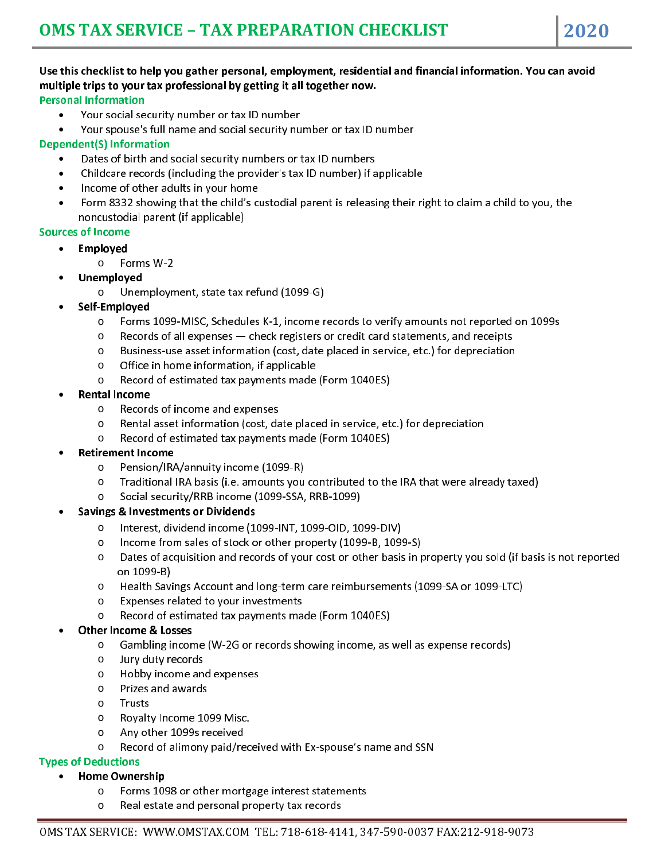### Use this checklist to help you gather personal, employment, residential and financial information. You can avoid multiple trips to your tax professional by getting it all together now.

#### Personal Information

I

- Your social security number or tax ID number
- Your spouse's full name and social security number or tax ID number

#### Dependent(S) Information

- Dates of birth and social security numbers or tax ID numbers
- Childcare records (including the provider's tax ID number) if applicable
- Income of other adults in your home
- Form 8332 showing that the child's custodial parent is releasing their right to claim a child to you, the noncustodial parent (if applicable)

#### Sources of Income

- Employed
	- o Forms W-2
- Unemployed
	- o Unemployment, state tax refund (1099-G)
- Self-Employed
	- o Forms 1099-MISC, Schedules K-1, income records to verify amounts not reported on 1099s
	- $\circ$  Records of all expenses  $-$  check registers or credit card statements, and receipts
	- o Business-use asset information (cost, date placed in service, etc.) for depreciation
	- o Office in home information, if applicable
	- o Record of estimated tax payments made (Form 1040ES)
- Rental Income
	- o Records of income and expenses
	- o Rental asset information (cost, date placed in service, etc.) for depreciation
	- o Record of estimated tax payments made (Form 1040ES)
- Retirement Income
	- o Pension/IRA/annuity income (1099-R)
	- o Traditional IRA basis (i.e. amounts you contributed to the IRA that were already taxed)
	- o Social security/RRB income (1099-SSA, RRB-1099)

#### Savings & Investments or Dividends

- o Interest, dividend income (1099-INT, 1099-OID, 1099-DIV)
- o Income from sales of stock or other property (1099-B, 1099-S)
- o Dates of acquisition and records of your cost or other basis in property you sold (if basis is not reported on 1099-B)
- o Health Savings Account and long-term care reimbursements (1099-SA or 1099-LTC)
- o Expenses related to your investments
- o Record of estimated tax payments made (Form 1040ES)

#### Other Income & Losses

- o Gambling income (W-2G or records showing income, as well as expense records)
- o Jury duty records
- o Hobby income and expenses
- o Prizes and awards
- o Trusts
- o Royalty Income 1099 Misc.
- o Any other 1099s received
- o Record of alimony paid/received with Ex-spouse's name and SSN

#### Types of Deductions

- Home Ownership
	- o Forms 1098 or other mortgage interest statements
	- o Real estate and personal property tax records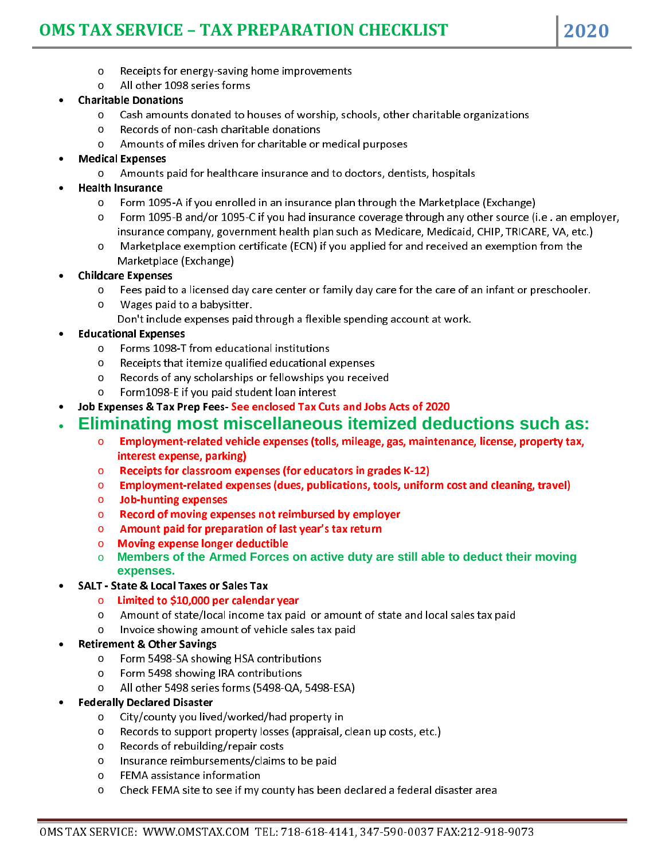# **OMS TAX SERVICE – TAX PREPARATION CHECKLIST 2020**

- o Receipts for energy-saving home improvements
- o All other 1098 series forms

#### Charitable Donations

I

- o Cash amounts donated to houses of worship, schools, other charitable organizations
- o Records of non-cash charitable donations
- o Amounts of miles driven for charitable or medical purposes
- Medical Expenses
	- o Amounts paid for healthcare insurance and to doctors, dentists, hospitals
- Health Insurance
	- o Form 1095-A if you enrolled in an insurance plan through the Marketplace (Exchange)
	- o Form 1095-B and/or 1095-C if you had insurance coverage through any other source (i.e . an employer, insurance company, government health plan such as Medicare, Medicaid, CHIP, TRICARE, VA, etc.)
	- o Marketplace exemption certificate (ECN) if you applied for and received an exemption from the Marketplace (Exchange)
- Childcare Expenses
	- $\circ$  Fees paid to a licensed day care center or family day care for the care of an infant or preschooler.
	- o Wages paid to a babysitter.
	- Don't include expenses paid through a flexible spending account at work.
- Educational Expenses
	- o Forms 1098-T from educational institutions
	- o Receipts that itemize qualified educational expenses
	- o Records of any scholarships or fellowships you received
	- o Form1098-E if you paid student loan interest
- Job Expenses & Tax Prep Fees- See enclosed Tax Cuts and Jobs Acts of 2020

### **Eliminating most miscellaneous itemized deductions such as:**

- $\circ$  Employment-related vehicle expenses (tolls, mileage, gas, maintenance, license, property tax, interest expense, parking)
- $\circ$  Receipts for classroom expenses (for educators in grades K-12)
- $\circ$  Employment-related expenses (dues, publications, tools, uniform cost and cleaning, travel)
- o Job-hunting expenses
- o Record of moving expenses not reimbursed by employer
- $\circ$  Amount paid for preparation of last year's tax return
- o Moving expense longer deductible
- o **Members of the Armed Forces on active duty are still able to deduct their moving expenses.**
- SALT State & Local Taxes or Sales Tax
	- $\circ$  Limited to \$10,000 per calendar year
	- o Amount of state/local income tax paid or amount of state and local sales tax paid
	- o Invoice showing amount of vehicle sales tax paid
- Retirement & Other Savings
	- o Form 5498-SA showing HSA contributions
	- o Form 5498 showing IRA contributions
	- o All other 5498 series forms (5498-QA, 5498-ESA)
- Federally Declared Disaster
	- o City/county you lived/worked/had property in
	- o Records to support property losses (appraisal, clean up costs, etc.)
	- o Records of rebuilding/repair costs
	- o Insurance reimbursements/claims to be paid
	- o FEMA assistance information
	- o Check FEMA site to see if my county has been declared a federal disaster area